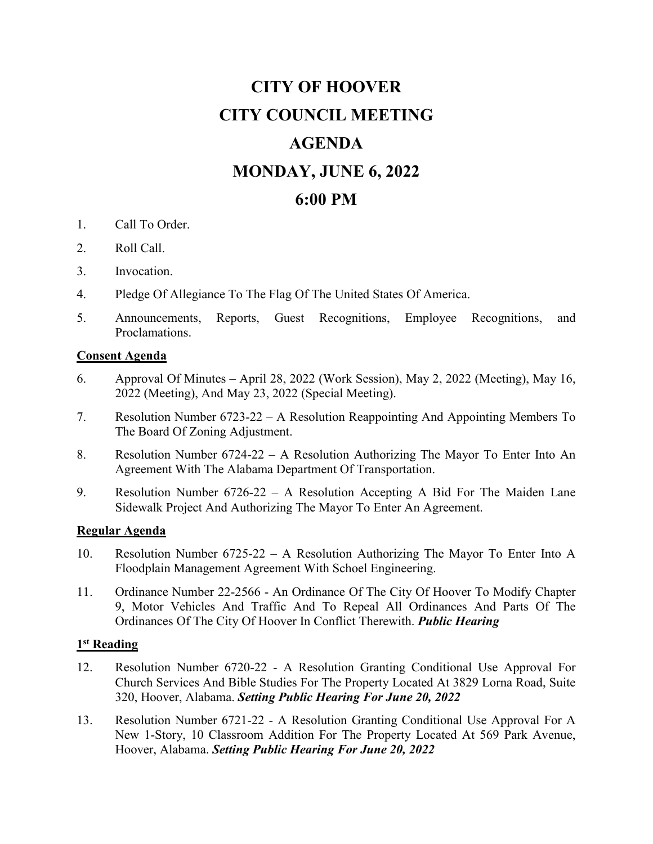# **CITY OF HOOVER CITY COUNCIL MEETING AGENDA MONDAY, JUNE 6, 2022 6:00 PM**

- 1. Call To Order.
- 2. Roll Call.
- 3. Invocation.
- 4. Pledge Of Allegiance To The Flag Of The United States Of America.
- 5. Announcements, Reports, Guest Recognitions, Employee Recognitions, and Proclamations.

## **Consent Agenda**

- 6. Approval Of Minutes April 28, 2022 (Work Session), May 2, 2022 (Meeting), May 16, 2022 (Meeting), And May 23, 2022 (Special Meeting).
- 7. Resolution Number 6723-22 A Resolution Reappointing And Appointing Members To The Board Of Zoning Adjustment.
- 8. Resolution Number 6724-22 A Resolution Authorizing The Mayor To Enter Into An Agreement With The Alabama Department Of Transportation.
- 9. Resolution Number 6726-22 A Resolution Accepting A Bid For The Maiden Lane Sidewalk Project And Authorizing The Mayor To Enter An Agreement.

## **Regular Agenda**

- 10. Resolution Number 6725-22 A Resolution Authorizing The Mayor To Enter Into A Floodplain Management Agreement With Schoel Engineering.
- 11. Ordinance Number 22-2566 An Ordinance Of The City Of Hoover To Modify Chapter 9, Motor Vehicles And Traffic And To Repeal All Ordinances And Parts Of The Ordinances Of The City Of Hoover In Conflict Therewith. *Public Hearing*

#### **1st Reading**

- 12. Resolution Number 6720-22 A Resolution Granting Conditional Use Approval For Church Services And Bible Studies For The Property Located At 3829 Lorna Road, Suite 320, Hoover, Alabama. *Setting Public Hearing For June 20, 2022*
- 13. Resolution Number 6721-22 A Resolution Granting Conditional Use Approval For A New 1-Story, 10 Classroom Addition For The Property Located At 569 Park Avenue, Hoover, Alabama. *Setting Public Hearing For June 20, 2022*